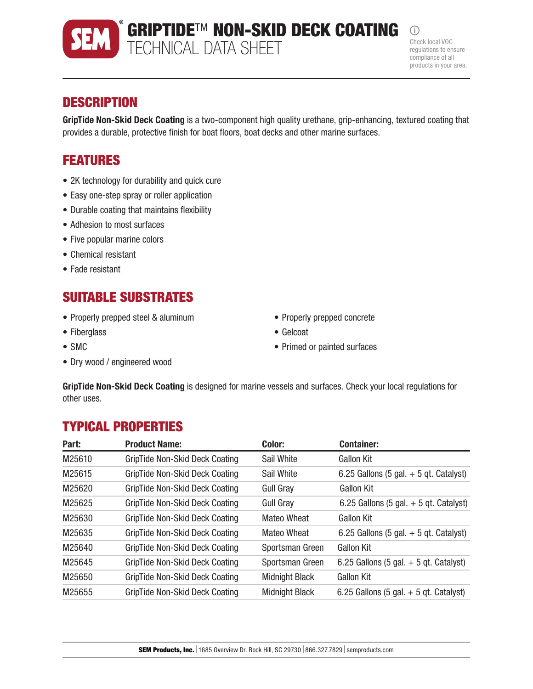## **DESCRIPTION**

GripTide Non-Skid Deck Coating is a two-component high quality urethane, grip-enhancing, textured coating that provides a durable, protective finish for boat floors, boat decks and other marine surfaces.

# FEATURES

- 2K technology for durability and quick cure
- Easy one-step spray or roller application
- Durable coating that maintains flexibility
- Adhesion to most surfaces
- Five popular marine colors
- Chemical resistant
- Fade resistant

# SUITABLE SUBSTRATES

- Properly prepped steel & aluminum
- Fiberglass
- SMC
- Dry wood / engineered wood
- Properly prepped concrete
- Gelcoat
- Primed or painted surfaces

GripTide Non-Skid Deck Coating is designed for marine vessels and surfaces. Check your local regulations for other uses.

## TYPICAL PROPERTIES

| Part:  | <b>Product Name:</b>           | Color:                | <b>Container:</b>                        |
|--------|--------------------------------|-----------------------|------------------------------------------|
| M25610 | GripTide Non-Skid Deck Coating | Sail White            | <b>Gallon Kit</b>                        |
| M25615 | GripTide Non-Skid Deck Coating | Sail White            | 6.25 Gallons (5 gal. $+$ 5 qt. Catalyst) |
| M25620 | GripTide Non-Skid Deck Coating | Gull Gray             | Gallon Kit                               |
| M25625 | GripTide Non-Skid Deck Coating | <b>Gull Gray</b>      | 6.25 Gallons (5 gal. $+$ 5 gt. Catalyst) |
| M25630 | GripTide Non-Skid Deck Coating | <b>Mateo Wheat</b>    | <b>Gallon Kit</b>                        |
| M25635 | GripTide Non-Skid Deck Coating | <b>Mateo Wheat</b>    | 6.25 Gallons (5 gal. $+$ 5 gt. Catalyst) |
| M25640 | GripTide Non-Skid Deck Coating | Sportsman Green       | <b>Gallon Kit</b>                        |
| M25645 | GripTide Non-Skid Deck Coating | Sportsman Green       | 6.25 Gallons (5 gal. $+$ 5 gt. Catalyst) |
| M25650 | GripTide Non-Skid Deck Coating | <b>Midnight Black</b> | <b>Gallon Kit</b>                        |
| M25655 | GripTide Non-Skid Deck Coating | <b>Midnight Black</b> | 6.25 Gallons (5 gal. $+$ 5 gt. Catalyst) |



GRIPTIDE™ NON-SKID DECK COATING

# **SEM** TECHNICAL DATA SHEET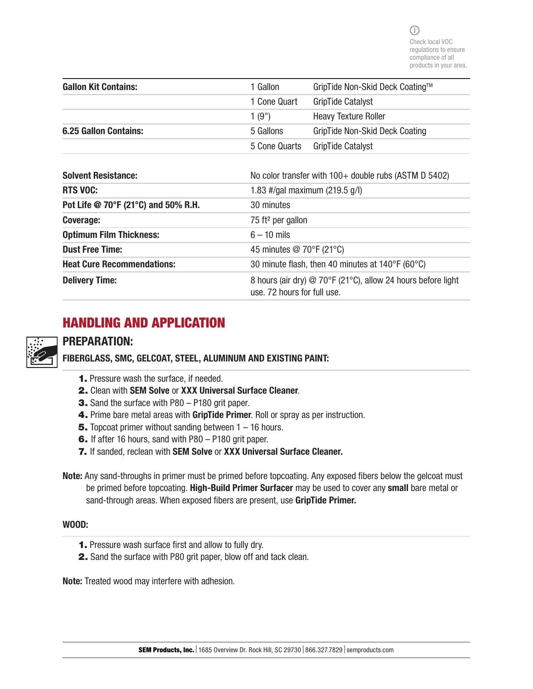| <b>Gallon Kit Contains:</b>  | 1 Gallon      | GripTide Non-Skid Deck Coating™ |
|------------------------------|---------------|---------------------------------|
|                              | 1 Cone Quart  | <b>GripTide Catalyst</b>        |
|                              | 1(9")         | <b>Heavy Texture Roller</b>     |
| <b>6.25 Gallon Contains:</b> | 5 Gallons     | GripTide Non-Skid Deck Coating  |
|                              | 5 Cone Quarts | <b>GripTide Catalyst</b>        |

| <b>Solvent Resistance:</b>          | No color transfer with $100+$ double rubs (ASTM D 5402)                                     |  |
|-------------------------------------|---------------------------------------------------------------------------------------------|--|
| <b>RTS VOC:</b>                     | 1.83 #/gal maximum (219.5 g/l)                                                              |  |
| Pot Life @ 70°F (21°C) and 50% R.H. | 30 minutes                                                                                  |  |
| Coverage:                           | 75 ft <sup>2</sup> per gallon                                                               |  |
| <b>Optimum Film Thickness:</b>      | $6 - 10$ mils                                                                               |  |
| <b>Dust Free Time:</b>              | 45 minutes @ 70°F (21°C)                                                                    |  |
| <b>Heat Cure Recommendations:</b>   | 30 minute flash, then 40 minutes at $140^{\circ}F(60^{\circ}C)$                             |  |
| <b>Delivery Time:</b>               | 8 hours (air dry) @ 70°F (21°C), allow 24 hours before light<br>use. 72 hours for full use. |  |

# HANDLING AND APPLICATION

## PREPARATION:

FIBERGLASS, SMC, GELCOAT, STEEL, ALUMINUM AND EXISTING PAINT:

- 1. Pressure wash the surface, if needed.
- 2. Clean with SEM Solve or XXX Universal Surface Cleaner.
- 3. Sand the surface with P80 P180 grit paper.
- 4. Prime bare metal areas with GripTide Primer. Roll or spray as per instruction.
- **5.** Topcoat primer without sanding between  $1 16$  hours.
- 6. If after 16 hours, sand with P80 P180 grit paper.
- 7. If sanded, reclean with SEM Solve or XXX Universal Surface Cleaner.
- Note: Any sand-throughs in primer must be primed before topcoating. Any exposed fibers below the gelcoat must be primed before topcoating. High-Build Primer Surfacer may be used to cover any small bare metal or sand-through areas. When exposed fibers are present, use GripTide Primer.

#### WOOD:

- 1. Pressure wash surface first and allow to fully dry.
- 2. Sand the surface with P80 grit paper, blow off and tack clean.

Note: Treated wood may interfere with adhesion.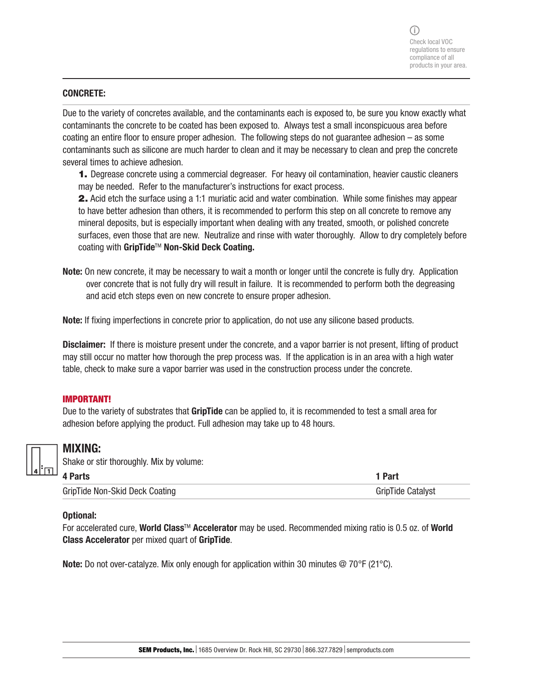#### CONCRETE:

Due to the variety of concretes available, and the contaminants each is exposed to, be sure you know exactly what contaminants the concrete to be coated has been exposed to. Always test a small inconspicuous area before coating an entire floor to ensure proper adhesion. The following steps do not guarantee adhesion – as some contaminants such as silicone are much harder to clean and it may be necessary to clean and prep the concrete several times to achieve adhesion.

1. Degrease concrete using a commercial degreaser. For heavy oil contamination, heavier caustic cleaners may be needed. Refer to the manufacturer's instructions for exact process.

2. Acid etch the surface using a 1:1 muriatic acid and water combination. While some finishes may appear to have better adhesion than others, it is recommended to perform this step on all concrete to remove any mineral deposits, but is especially important when dealing with any treated, smooth, or polished concrete surfaces, even those that are new. Neutralize and rinse with water thoroughly. Allow to dry completely before coating with GripTide™ Non-Skid Deck Coating.

Note: On new concrete, it may be necessary to wait a month or longer until the concrete is fully dry. Application over concrete that is not fully dry will result in failure. It is recommended to perform both the degreasing and acid etch steps even on new concrete to ensure proper adhesion.

Note: If fixing imperfections in concrete prior to application, do not use any silicone based products.

Disclaimer: If there is moisture present under the concrete, and a vapor barrier is not present, lifting of product may still occur no matter how thorough the prep process was. If the application is in an area with a high water table, check to make sure a vapor barrier was used in the construction process under the concrete.

#### IMPORTANT!

Due to the variety of substrates that **GripTide** can be applied to, it is recommended to test a small area for adhesion before applying the product. Full adhesion may take up to 48 hours.



#### MIXING:

| Shake or stir thoroughly. Mix by volume: |
|------------------------------------------|
| <b>A</b> Dorte                           |

| 4 Parts                        | 1 Part            |
|--------------------------------|-------------------|
| GripTide Non-Skid Deck Coating | GripTide Catalyst |

#### Optional:

For accelerated cure, World Class™ Accelerator may be used. Recommended mixing ratio is 0.5 oz. of World Class Accelerator per mixed quart of GripTide.

Note: Do not over-catalyze. Mix only enough for application within 30 minutes @ 70°F (21°C).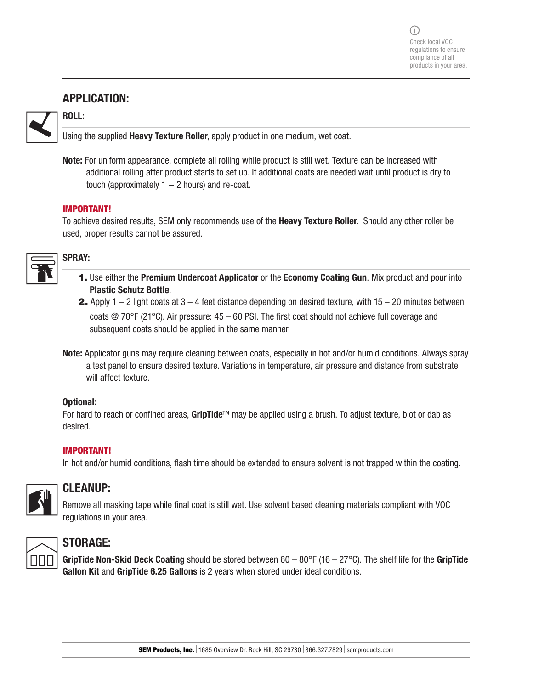## APPLICATION:

ROLL:



Using the supplied **Heavy Texture Roller**, apply product in one medium, wet coat.

Note: For uniform appearance, complete all rolling while product is still wet. Texture can be increased with additional rolling after product starts to set up. If additional coats are needed wait until product is dry to touch (approximately  $1 - 2$  hours) and re-coat.

#### IMPORTANT!

To achieve desired results, SEM only recommends use of the Heavy Texture Roller. Should any other roller be used, proper results cannot be assured.



## SPRAY:

- 1. Use either the Premium Undercoat Applicator or the Economy Coating Gun. Mix product and pour into Plastic Schutz Bottle.
- **2.** Apply 1 2 light coats at  $3 4$  feet distance depending on desired texture, with  $15 20$  minutes between coats  $\oslash$  70°F (21°C). Air pressure: 45 – 60 PSI. The first coat should not achieve full coverage and subsequent coats should be applied in the same manner.
- Note: Applicator guns may require cleaning between coats, especially in hot and/or humid conditions. Always spray a test panel to ensure desired texture. Variations in temperature, air pressure and distance from substrate will affect texture.

#### Optional:

For hard to reach or confined areas, GripTide™ may be applied using a brush. To adjust texture, blot or dab as desired.

#### IMPORTANT!

In hot and/or humid conditions, flash time should be extended to ensure solvent is not trapped within the coating.



## CLEANUP:

Remove all masking tape while final coat is still wet. Use solvent based cleaning materials compliant with VOC regulations in your area.



## STORAGE:

GripTide Non-Skid Deck Coating should be stored between  $60 - 80^{\circ}F (16 - 27^{\circ}C)$ . The shelf life for the GripTide Gallon Kit and GripTide 6.25 Gallons is 2 years when stored under ideal conditions.